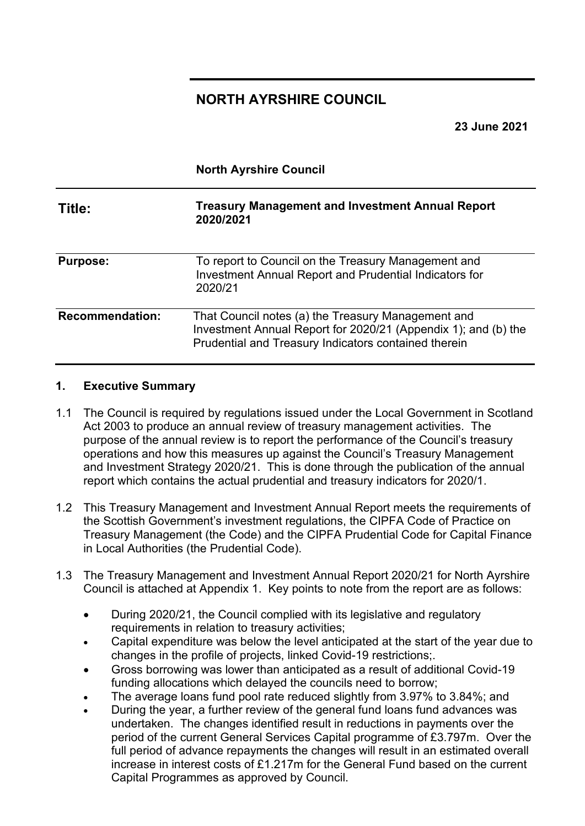### **NORTH AYRSHIRE COUNCIL**

**23 June 2021**

|                        | <b>North Ayrshire Council</b>                                                                                                                                                |  |  |  |  |
|------------------------|------------------------------------------------------------------------------------------------------------------------------------------------------------------------------|--|--|--|--|
| Title:                 | <b>Treasury Management and Investment Annual Report</b><br>2020/2021                                                                                                         |  |  |  |  |
| <b>Purpose:</b>        | To report to Council on the Treasury Management and<br><b>Investment Annual Report and Prudential Indicators for</b><br>2020/21                                              |  |  |  |  |
| <b>Recommendation:</b> | That Council notes (a) the Treasury Management and<br>Investment Annual Report for 2020/21 (Appendix 1); and (b) the<br>Prudential and Treasury Indicators contained therein |  |  |  |  |

#### **1. Executive Summary**

- 1.1 The Council is required by regulations issued under the Local Government in Scotland Act 2003 to produce an annual review of treasury management activities. The purpose of the annual review is to report the performance of the Council's treasury operations and how this measures up against the Council's Treasury Management and Investment Strategy 2020/21. This is done through the publication of the annual report which contains the actual prudential and treasury indicators for 2020/1.
- 1.2 This Treasury Management and Investment Annual Report meets the requirements of the Scottish Government's investment regulations, the CIPFA Code of Practice on Treasury Management (the Code) and the CIPFA Prudential Code for Capital Finance in Local Authorities (the Prudential Code).
- 1.3 The Treasury Management and Investment Annual Report 2020/21 for North Ayrshire Council is attached at Appendix 1. Key points to note from the report are as follows:
	- During 2020/21, the Council complied with its legislative and regulatory requirements in relation to treasury activities;
	- Capital expenditure was below the level anticipated at the start of the year due to changes in the profile of projects, linked Covid-19 restrictions;.
	- Gross borrowing was lower than anticipated as a result of additional Covid-19 funding allocations which delayed the councils need to borrow;
	- The average loans fund pool rate reduced slightly from 3.97% to 3.84%; and
	- During the year, a further review of the general fund loans fund advances was undertaken. The changes identified result in reductions in payments over the period of the current General Services Capital programme of £3.797m. Over the full period of advance repayments the changes will result in an estimated overall increase in interest costs of £1.217m for the General Fund based on the current Capital Programmes as approved by Council.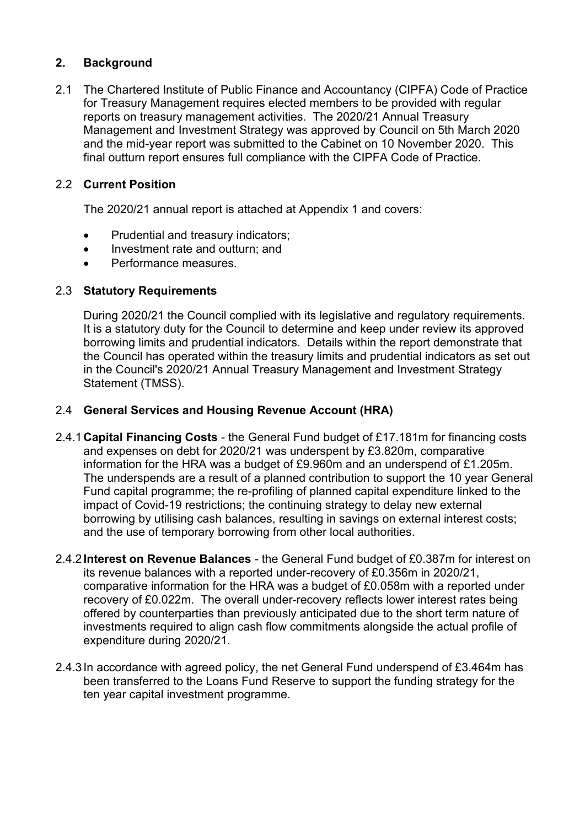#### **2. Background**

2.1 The Chartered Institute of Public Finance and Accountancy (CIPFA) Code of Practice for Treasury Management requires elected members to be provided with regular reports on treasury management activities. The 2020/21 Annual Treasury Management and Investment Strategy was approved by Council on 5th March 2020 and the mid-year report was submitted to the Cabinet on 10 November 2020. This final outturn report ensures full compliance with the CIPFA Code of Practice.

#### 2.2 **Current Position**

The 2020/21 annual report is attached at Appendix 1 and covers:

- Prudential and treasury indicators;
- Investment rate and outturn; and
- Performance measures.

#### 2.3 **Statutory Requirements**

During 2020/21 the Council complied with its legislative and regulatory requirements. It is a statutory duty for the Council to determine and keep under review its approved borrowing limits and prudential indicators. Details within the report demonstrate that the Council has operated within the treasury limits and prudential indicators as set out in the Council's 2020/21 Annual Treasury Management and Investment Strategy Statement (TMSS).

#### 2.4 **General Services and Housing Revenue Account (HRA)**

- 2.4.1**Capital Financing Costs**  the General Fund budget of £17.181m for financing costs and expenses on debt for 2020/21 was underspent by £3.820m, comparative information for the HRA was a budget of £9.960m and an underspend of £1.205m. The underspends are a result of a planned contribution to support the 10 year General Fund capital programme; the re-profiling of planned capital expenditure linked to the impact of Covid-19 restrictions; the continuing strategy to delay new external borrowing by utilising cash balances, resulting in savings on external interest costs; and the use of temporary borrowing from other local authorities.
- 2.4.2**Interest on Revenue Balances**  the General Fund budget of £0.387m for interest on its revenue balances with a reported under-recovery of £0.356m in 2020/21, comparative information for the HRA was a budget of £0.058m with a reported under recovery of £0.022m. The overall under-recovery reflects lower interest rates being offered by counterparties than previously anticipated due to the short term nature of investments required to align cash flow commitments alongside the actual profile of expenditure during 2020/21.
- 2.4.3In accordance with agreed policy, the net General Fund underspend of £3.464m has been transferred to the Loans Fund Reserve to support the funding strategy for the ten year capital investment programme.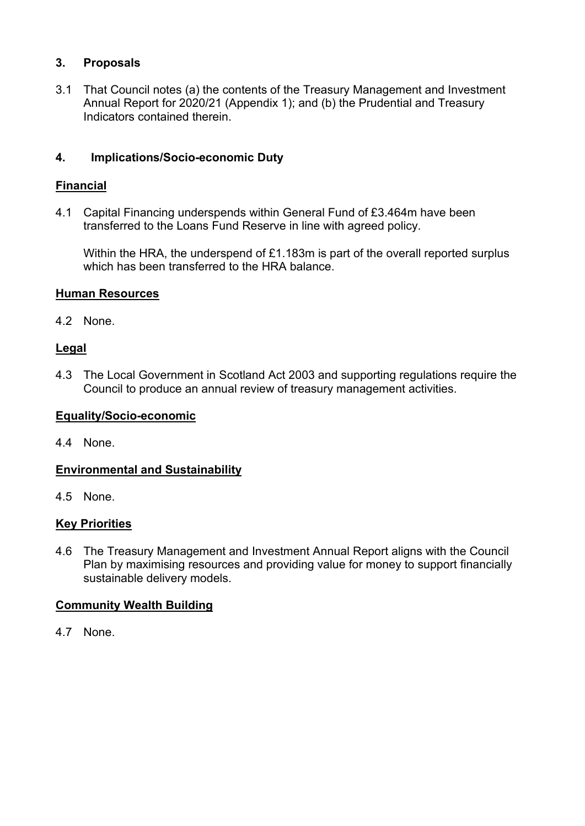#### **3. Proposals**

3.1 That Council notes (a) the contents of the Treasury Management and Investment Annual Report for 2020/21 (Appendix 1); and (b) the Prudential and Treasury Indicators contained therein.

### **4. Implications/Socio-economic Duty**

#### **Financial**

4.1 Capital Financing underspends within General Fund of £3.464m have been transferred to the Loans Fund Reserve in line with agreed policy.

Within the HRA, the underspend of £1.183m is part of the overall reported surplus which has been transferred to the HRA balance.

#### **Human Resources**

4.2 None.

#### **Legal**

4.3 The Local Government in Scotland Act 2003 and supporting regulations require the Council to produce an annual review of treasury management activities.

#### **Equality/Socio-economic**

4.4 None.

#### **Environmental and Sustainability**

4.5 None.

#### **Key Priorities**

4.6 The Treasury Management and Investment Annual Report aligns with the Council Plan by maximising resources and providing value for money to support financially sustainable delivery models.

#### **Community Wealth Building**

4.7 None.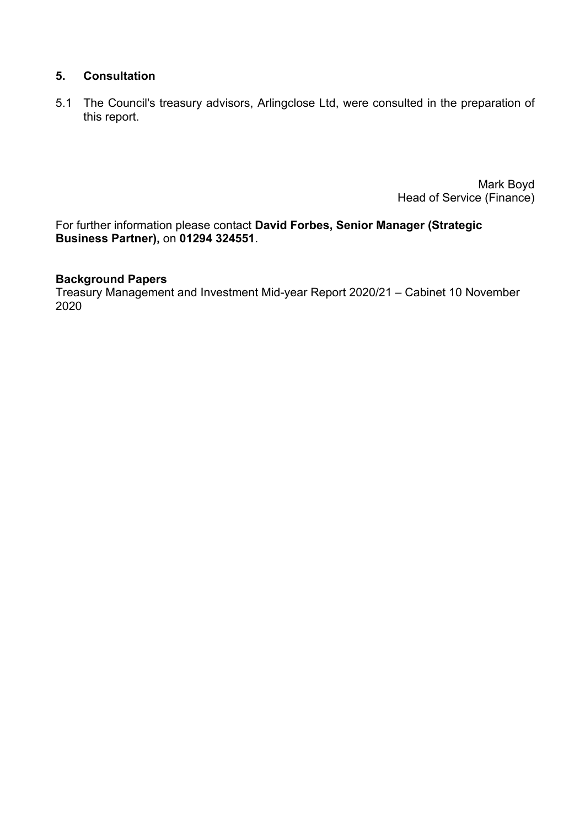#### **5. Consultation**

5.1 The Council's treasury advisors, Arlingclose Ltd, were consulted in the preparation of this report.

> Mark Boyd Head of Service (Finance)

For further information please contact **David Forbes, Senior Manager (Strategic Business Partner),** on **01294 324551**.

#### **Background Papers**

Treasury Management and Investment Mid-year Report 2020/21 – Cabinet 10 November 2020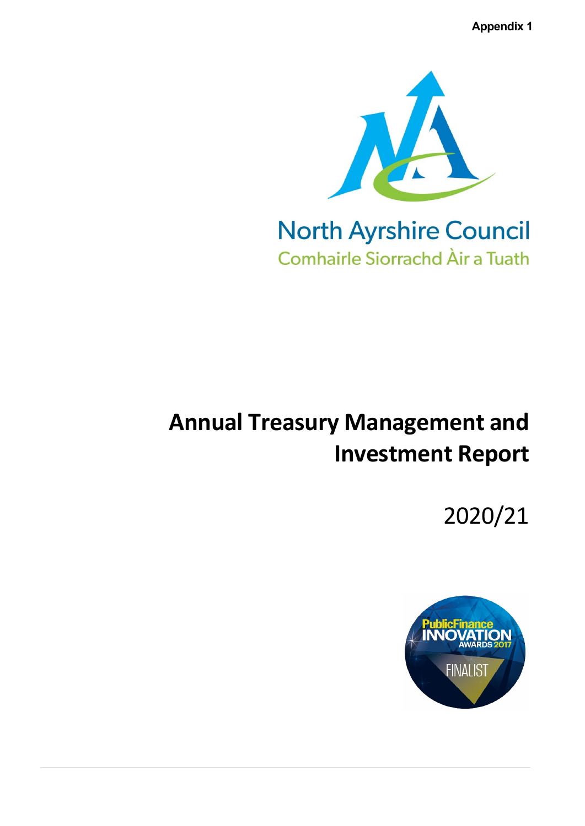**Appendix 1**



# **Annual Treasury Management and Investment Report**

2020/21

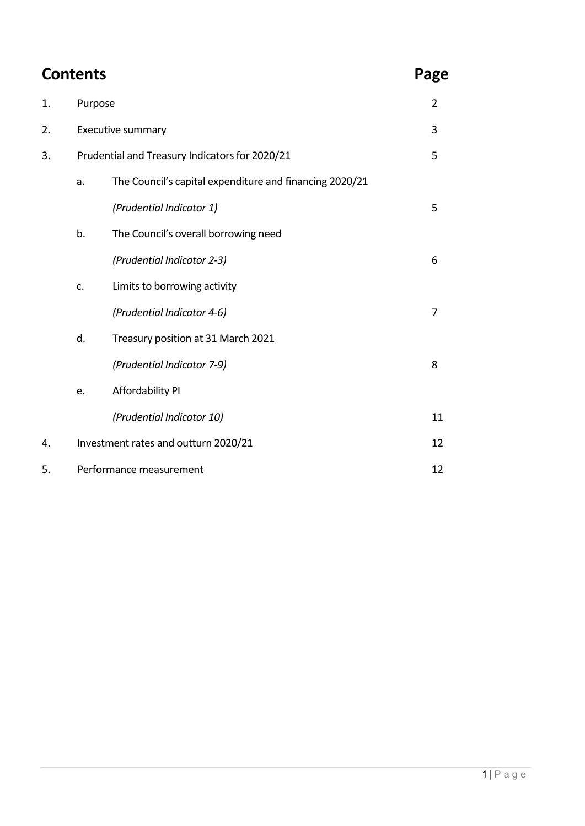## **Contents** Page

| 1. | Purpose                              |                                                         | $\overline{2}$ |  |
|----|--------------------------------------|---------------------------------------------------------|----------------|--|
| 2. |                                      | Executive summary                                       | 3              |  |
| 3. |                                      | Prudential and Treasury Indicators for 2020/21          | 5              |  |
|    | a.                                   | The Council's capital expenditure and financing 2020/21 |                |  |
|    |                                      | (Prudential Indicator 1)                                | 5              |  |
|    | b.                                   | The Council's overall borrowing need                    |                |  |
|    |                                      | (Prudential Indicator 2-3)                              | 6              |  |
|    | c.                                   | Limits to borrowing activity                            |                |  |
|    |                                      | (Prudential Indicator 4-6)                              | $\overline{7}$ |  |
|    | d.                                   | Treasury position at 31 March 2021                      |                |  |
|    |                                      | (Prudential Indicator 7-9)                              | 8              |  |
|    | e.                                   | Affordability PI                                        |                |  |
|    |                                      | (Prudential Indicator 10)                               | 11             |  |
| 4. | Investment rates and outturn 2020/21 |                                                         |                |  |
| 5. | Performance measurement<br>12        |                                                         |                |  |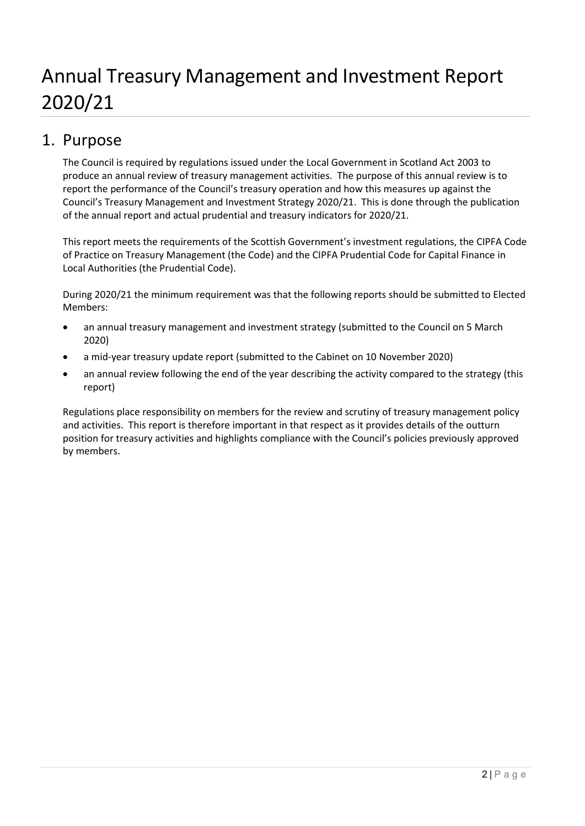# Annual Treasury Management and Investment Report 2020/21

### 1. Purpose

The Council is required by regulations issued under the Local Government in Scotland Act 2003 to produce an annual review of treasury management activities. The purpose of this annual review is to report the performance of the Council's treasury operation and how this measures up against the Council's Treasury Management and Investment Strategy 2020/21. This is done through the publication of the annual report and actual prudential and treasury indicators for 2020/21.

This report meets the requirements of the Scottish Government's investment regulations, the CIPFA Code of Practice on Treasury Management (the Code) and the CIPFA Prudential Code for Capital Finance in Local Authorities (the Prudential Code).

During 2020/21 the minimum requirement was that the following reports should be submitted to Elected Members:

- an annual treasury management and investment strategy (submitted to the Council on 5 March 2020)
- a mid-year treasury update report (submitted to the Cabinet on 10 November 2020)
- an annual review following the end of the year describing the activity compared to the strategy (this report)

Regulations place responsibility on members for the review and scrutiny of treasury management policy and activities. This report is therefore important in that respect as it provides details of the outturn position for treasury activities and highlights compliance with the Council's policies previously approved by members.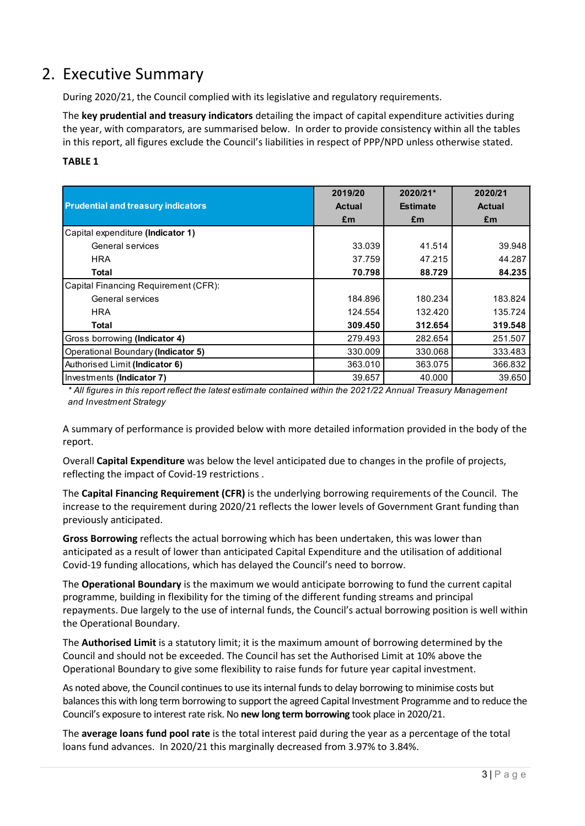### 2. Executive Summary

During 2020/21, the Council complied with its legislative and regulatory requirements.

The **key prudential and treasury indicators** detailing the impact of capital expenditure activities during the year, with comparators, are summarised below. In order to provide consistency within all the tables in this report, all figures exclude the Council's liabilities in respect of PPP/NPD unless otherwise stated.

#### **TABLE 1**

|                                           | 2019/20 | 2020/21*        | 2020/21       |
|-------------------------------------------|---------|-----------------|---------------|
| <b>Prudential and treasury indicators</b> | Actual  | <b>Estimate</b> | <b>Actual</b> |
|                                           | £m      | £m              | £m            |
| Capital expenditure (Indicator 1)         |         |                 |               |
| General services                          | 33.039  | 41.514          | 39.948        |
| <b>HRA</b>                                | 37.759  | 47.215          | 44.287        |
| <b>Total</b>                              | 70.798  | 88.729          | 84.235        |
| Capital Financing Requirement (CFR):      |         |                 |               |
| General services                          | 184.896 | 180.234         | 183.824       |
| <b>HRA</b>                                | 124.554 | 132.420         | 135.724       |
| <b>Total</b>                              | 309,450 | 312.654         | 319.548       |
| Gross borrowing (Indicator 4)             | 279.493 | 282.654         | 251.507       |
| Operational Boundary (Indicator 5)        | 330.009 | 330.068         | 333.483       |
| Authorised Limit (Indicator 6)            | 363.010 | 363.075         | 366.832       |
| Investments (Indicator 7)                 | 39.657  | 40.000          | 39.650        |

*\* All figures in this report reflect the latest estimate contained within the 2021/22 Annual Treasury Management and Investment Strategy*

A summary of performance is provided below with more detailed information provided in the body of the report.

Overall **Capital Expenditure** was below the level anticipated due to changes in the profile of projects, reflecting the impact of Covid-19 restrictions .

The **Capital Financing Requirement (CFR)** is the underlying borrowing requirements of the Council. The increase to the requirement during 2020/21 reflects the lower levels of Government Grant funding than previously anticipated.

**Gross Borrowing** reflects the actual borrowing which has been undertaken, this was lower than anticipated as a result of lower than anticipated Capital Expenditure and the utilisation of additional Covid-19 funding allocations, which has delayed the Council's need to borrow.

The **Operational Boundary** is the maximum we would anticipate borrowing to fund the current capital programme, building in flexibility for the timing of the different funding streams and principal repayments. Due largely to the use of internal funds, the Council's actual borrowing position is well within the Operational Boundary.

The **Authorised Limit** is a statutory limit; it is the maximum amount of borrowing determined by the Council and should not be exceeded. The Council has set the Authorised Limit at 10% above the Operational Boundary to give some flexibility to raise funds for future year capital investment.

As noted above, the Council continues to use its internal funds to delay borrowing to minimise costs but balances this with long term borrowing to support the agreed Capital Investment Programme and to reduce the Council's exposure to interest rate risk. No **new long term borrowing** took place in 2020/21.

The **average loans fund pool rate** is the total interest paid during the year as a percentage of the total loans fund advances. In 2020/21 this marginally decreased from 3.97% to 3.84%.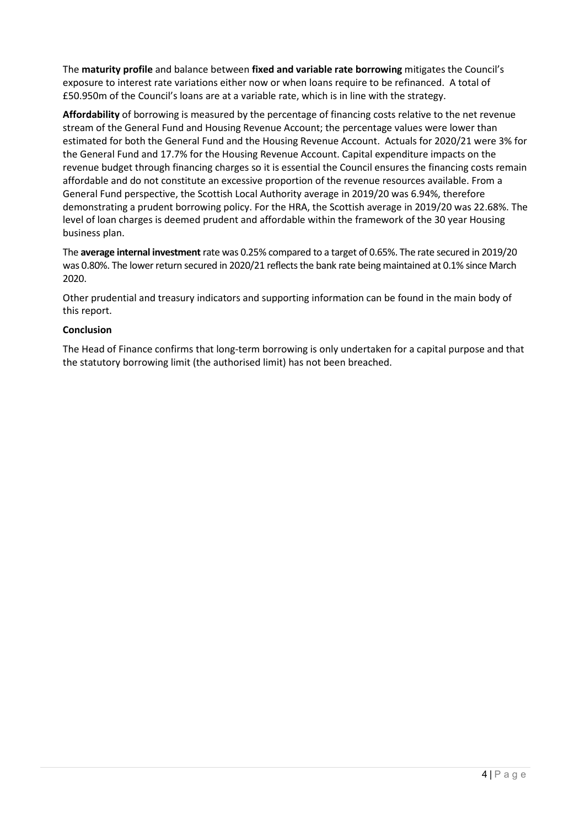The **maturity profile** and balance between **fixed and variable rate borrowing** mitigates the Council's exposure to interest rate variations either now or when loans require to be refinanced. A total of £50.950m of the Council's loans are at a variable rate, which is in line with the strategy.

**Affordability** of borrowing is measured by the percentage of financing costs relative to the net revenue stream of the General Fund and Housing Revenue Account; the percentage values were lower than estimated for both the General Fund and the Housing Revenue Account. Actuals for 2020/21 were 3% for the General Fund and 17.7% for the Housing Revenue Account. Capital expenditure impacts on the revenue budget through financing charges so it is essential the Council ensures the financing costs remain affordable and do not constitute an excessive proportion of the revenue resources available. From a General Fund perspective, the Scottish Local Authority average in 2019/20 was 6.94%, therefore demonstrating a prudent borrowing policy. For the HRA, the Scottish average in 2019/20 was 22.68%. The level of loan charges is deemed prudent and affordable within the framework of the 30 year Housing business plan.

The **average internal investment** rate was 0.25% compared to a target of 0.65%. The rate secured in 2019/20 was 0.80%. The lower return secured in 2020/21 reflects the bank rate being maintained at 0.1% since March 2020.

Other prudential and treasury indicators and supporting information can be found in the main body of this report.

#### **Conclusion**

The Head of Finance confirms that long-term borrowing is only undertaken for a capital purpose and that the statutory borrowing limit (the authorised limit) has not been breached.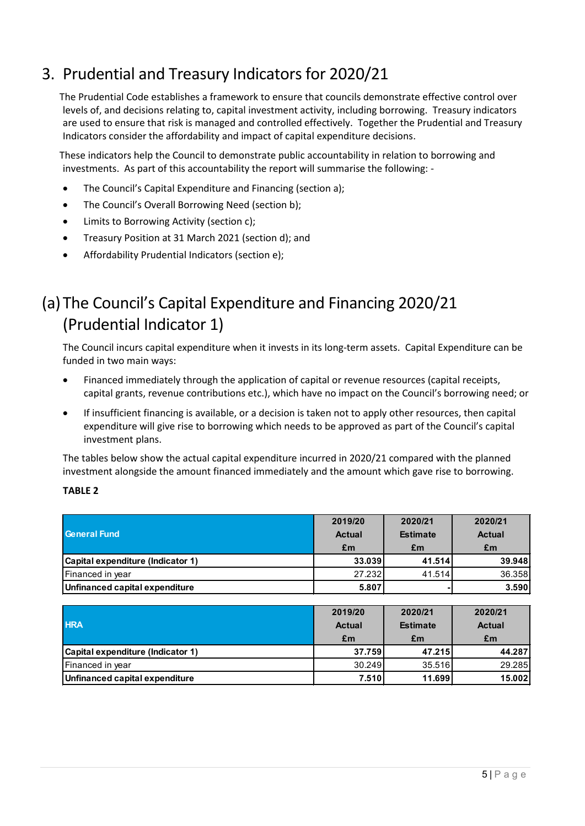### 3. Prudential and Treasury Indicators for 2020/21

The Prudential Code establishes a framework to ensure that councils demonstrate effective control over levels of, and decisions relating to, capital investment activity, including borrowing. Treasury indicators are used to ensure that risk is managed and controlled effectively. Together the Prudential and Treasury Indicators consider the affordability and impact of capital expenditure decisions.

These indicators help the Council to demonstrate public accountability in relation to borrowing and investments. As part of this accountability the report will summarise the following: -

- The Council's Capital Expenditure and Financing (section a);
- The Council's Overall Borrowing Need (section b);
- Limits to Borrowing Activity (section c);
- Treasury Position at 31 March 2021 (section d); and
- Affordability Prudential Indicators (section e);

### (a) The Council's Capital Expenditure and Financing 2020/21 (Prudential Indicator 1)

The Council incurs capital expenditure when it invests in its long-term assets. Capital Expenditure can be funded in two main ways:

- Financed immediately through the application of capital or revenue resources (capital receipts, capital grants, revenue contributions etc.), which have no impact on the Council's borrowing need; or
- If insufficient financing is available, or a decision is taken not to apply other resources, then capital expenditure will give rise to borrowing which needs to be approved as part of the Council's capital investment plans.

The tables below show the actual capital expenditure incurred in 2020/21 compared with the planned investment alongside the amount financed immediately and the amount which gave rise to borrowing.

#### **TABLE 2**

| <b>General Fund</b>               | 2019/20<br><b>Actual</b><br>£m | 2020/21<br><b>Estimate</b><br>£m | 2020/21<br><b>Actual</b><br>£m |
|-----------------------------------|--------------------------------|----------------------------------|--------------------------------|
| Capital expenditure (Indicator 1) | 33.039                         | 41.514                           | 39.948                         |
| Financed in year                  | 27.232                         | 41.514                           | 36.358                         |
| Unfinanced capital expenditure    | 5.807                          |                                  | 3.590                          |

| <b>HRA</b>                        | 2019/20<br><b>Actual</b><br>£m | 2020/21<br><b>Estimate</b><br>£m | 2020/21<br><b>Actual</b><br>£m |
|-----------------------------------|--------------------------------|----------------------------------|--------------------------------|
| Capital expenditure (Indicator 1) | 37.759                         | 47.215                           | 44.287                         |
| Financed in year                  | 30.249                         | 35.516                           | 29.285                         |
| Unfinanced capital expenditure    | 7.510                          | 11.699                           | 15.002                         |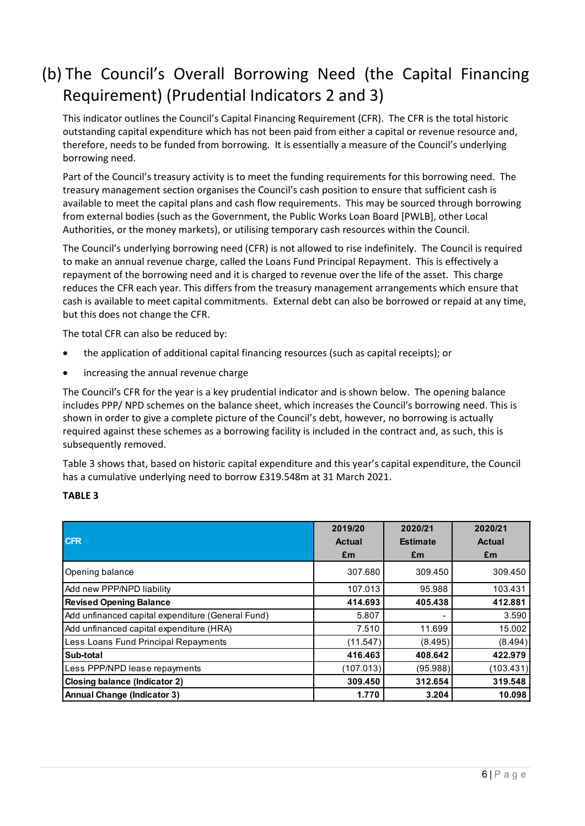### (b) The Council's Overall Borrowing Need (the Capital Financing Requirement) (Prudential Indicators 2 and 3)

This indicator outlines the Council's Capital Financing Requirement (CFR). The CFR is the total historic outstanding capital expenditure which has not been paid from either a capital or revenue resource and, therefore, needs to be funded from borrowing. It is essentially a measure of the Council's underlying borrowing need.

Part of the Council's treasury activity is to meet the funding requirements for this borrowing need. The treasury management section organises the Council's cash position to ensure that sufficient cash is available to meet the capital plans and cash flow requirements. This may be sourced through borrowing from external bodies (such as the Government, the Public Works Loan Board [PWLB], other Local Authorities, or the money markets), or utilising temporary cash resources within the Council.

The Council's underlying borrowing need (CFR) is not allowed to rise indefinitely. The Council is required to make an annual revenue charge, called the Loans Fund Principal Repayment. This is effectively a repayment of the borrowing need and it is charged to revenue over the life of the asset. This charge reduces the CFR each year. This differs from the treasury management arrangements which ensure that cash is available to meet capital commitments. External debt can also be borrowed or repaid at any time, but this does not change the CFR.

The total CFR can also be reduced by:

- the application of additional capital financing resources (such as capital receipts); or
- increasing the annual revenue charge

The Council's CFR for the year is a key prudential indicator and is shown below. The opening balance includes PPP/ NPD schemes on the balance sheet, which increases the Council's borrowing need. This is shown in order to give a complete picture of the Council's debt, however, no borrowing is actually required against these schemes as a borrowing facility is included in the contract and, as such, this is subsequently removed.

Table 3 shows that, based on historic capital expenditure and this year's capital expenditure, the Council has a cumulative underlying need to borrow £319.548m at 31 March 2021.

#### **TABLE 3**

| <b>CFR</b>                                        | 2019/20<br><b>Actual</b><br>£m | 2020/21<br><b>Estimate</b><br>£m | 2020/21<br><b>Actual</b><br>£m |
|---------------------------------------------------|--------------------------------|----------------------------------|--------------------------------|
| Opening balance                                   | 307.680                        | 309.450                          | 309.450                        |
| Add new PPP/NPD liability                         | 107.013                        | 95.988                           | 103.431                        |
| <b>Revised Opening Balance</b>                    | 414.693                        | 405.438                          | 412.881                        |
| Add unfinanced capital expenditure (General Fund) | 5.807                          |                                  | 3.590                          |
| Add unfinanced capital expenditure (HRA)          | 7.510                          | 11.699                           | 15.002                         |
| Less Loans Fund Principal Repayments              | (11.547)                       | (8.495)                          | (8.494)                        |
| Sub-total                                         | 416.463                        | 408.642                          | 422.979                        |
| Less PPP/NPD lease repayments                     | (107.013)                      | (95.988)                         | (103.431)                      |
| <b>Closing balance (Indicator 2)</b>              | 309,450                        | 312.654                          | 319.548                        |
| <b>Annual Change (Indicator 3)</b>                | 1.770                          | 3.204                            | 10.098                         |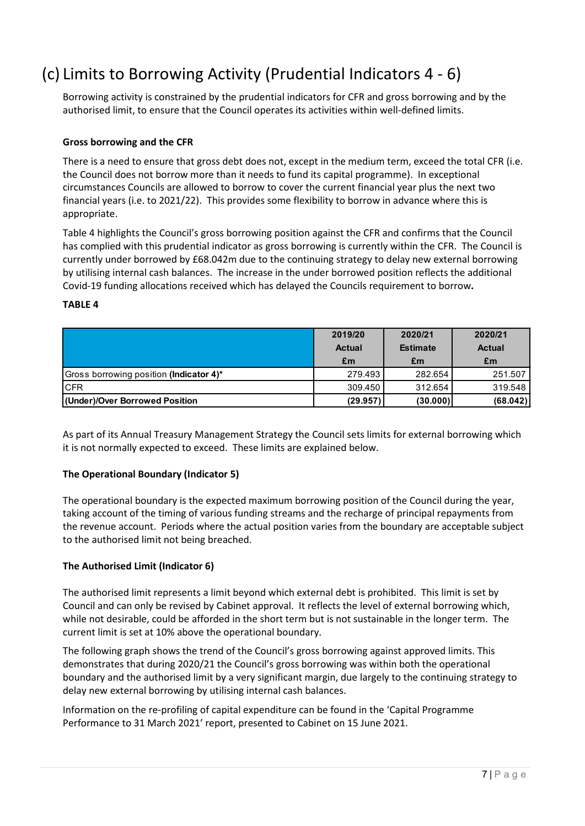### (c) Limits to Borrowing Activity (Prudential Indicators 4 - 6)

Borrowing activity is constrained by the prudential indicators for CFR and gross borrowing and by the authorised limit, to ensure that the Council operates its activities within well-defined limits.

#### **Gross borrowing and the CFR**

There is a need to ensure that gross debt does not, except in the medium term, exceed the total CFR (i.e. the Council does not borrow more than it needs to fund its capital programme). In exceptional circumstances Councils are allowed to borrow to cover the current financial year plus the next two financial years (i.e. to 2021/22). This provides some flexibility to borrow in advance where this is appropriate.

Table 4 highlights the Council's gross borrowing position against the CFR and confirms that the Council has complied with this prudential indicator as gross borrowing is currently within the CFR. The Council is currently under borrowed by £68.042m due to the continuing strategy to delay new external borrowing by utilising internal cash balances. The increase in the under borrowed position reflects the additional Covid-19 funding allocations received which has delayed the Councils requirement to borrow**.**

#### **TABLE 4**

|                                         | 2019/20  | 2020/21         | 2020/21       |  |
|-----------------------------------------|----------|-----------------|---------------|--|
|                                         | Actual   | <b>Estimate</b> | <b>Actual</b> |  |
|                                         | £m       | £m              | £m            |  |
| Gross borrowing position (Indicator 4)* | 279.493  | 282.654         | 251.507       |  |
| <b>ICFR</b>                             | 309.450  | 312.654         | 319.548       |  |
| (Under)/Over Borrowed Position          | (29.957) | (30.000)        | (68.042)      |  |

As part of its Annual Treasury Management Strategy the Council sets limits for external borrowing which it is not normally expected to exceed. These limits are explained below.

#### **The Operational Boundary (Indicator 5)**

The operational boundary is the expected maximum borrowing position of the Council during the year, taking account of the timing of various funding streams and the recharge of principal repayments from the revenue account. Periods where the actual position varies from the boundary are acceptable subject to the authorised limit not being breached.

#### **The Authorised Limit (Indicator 6)**

The authorised limit represents a limit beyond which external debt is prohibited. This limit is set by Council and can only be revised by Cabinet approval. It reflects the level of external borrowing which, while not desirable, could be afforded in the short term but is not sustainable in the longer term. The current limit is set at 10% above the operational boundary.

The following graph shows the trend of the Council's gross borrowing against approved limits. This demonstrates that during 2020/21 the Council's gross borrowing was within both the operational boundary and the authorised limit by a very significant margin, due largely to the continuing strategy to delay new external borrowing by utilising internal cash balances.

Information on the re-profiling of capital expenditure can be found in the 'Capital Programme Performance to 31 March 2021' report, presented to Cabinet on 15 June 2021.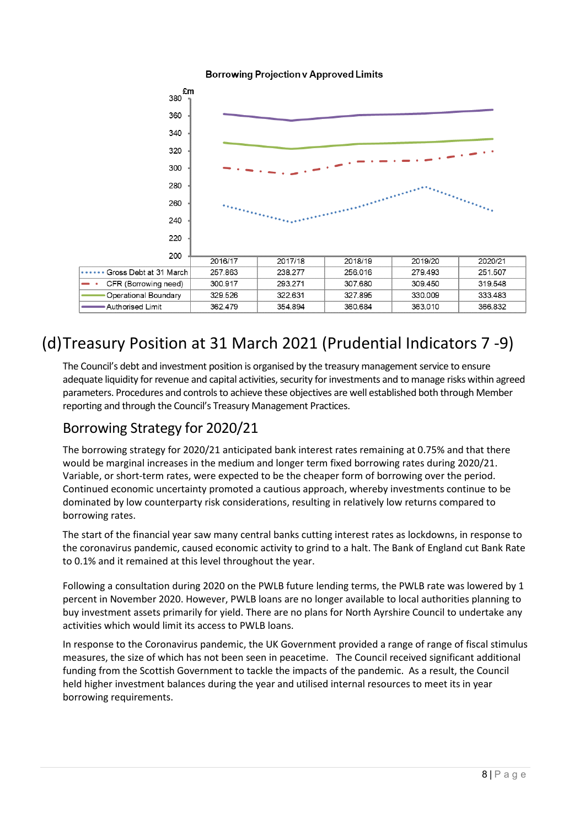



### (d)Treasury Position at 31 March 2021 (Prudential Indicators 7 -9)

The Council's debt and investment position is organised by the treasury management service to ensure adequate liquidity for revenue and capital activities, security for investments and to manage risks within agreed parameters. Procedures and controls to achieve these objectives are well established both through Member reporting and through the Council's Treasury Management Practices.

### Borrowing Strategy for 2020/21

The borrowing strategy for 2020/21 anticipated bank interest rates remaining at 0.75% and that there would be marginal increases in the medium and longer term fixed borrowing rates during 2020/21. Variable, or short-term rates, were expected to be the cheaper form of borrowing over the period. Continued economic uncertainty promoted a cautious approach, whereby investments continue to be dominated by low counterparty risk considerations, resulting in relatively low returns compared to borrowing rates.

The start of the financial year saw many central banks cutting interest rates as lockdowns, in response to the coronavirus pandemic, caused economic activity to grind to a halt. The Bank of England cut Bank Rate to 0.1% and it remained at this level throughout the year.

Following a consultation during 2020 on the PWLB future lending terms, the PWLB rate was lowered by 1 percent in November 2020. However, PWLB loans are no longer available to local authorities planning to buy investment assets primarily for yield. There are no plans for North Ayrshire Council to undertake any activities which would limit its access to PWLB loans.

In response to the Coronavirus pandemic, the UK Government provided a range of range of fiscal stimulus measures, the size of which has not been seen in peacetime. The Council received significant additional funding from the Scottish Government to tackle the impacts of the pandemic. As a result, the Council held higher investment balances during the year and utilised internal resources to meet its in year borrowing requirements.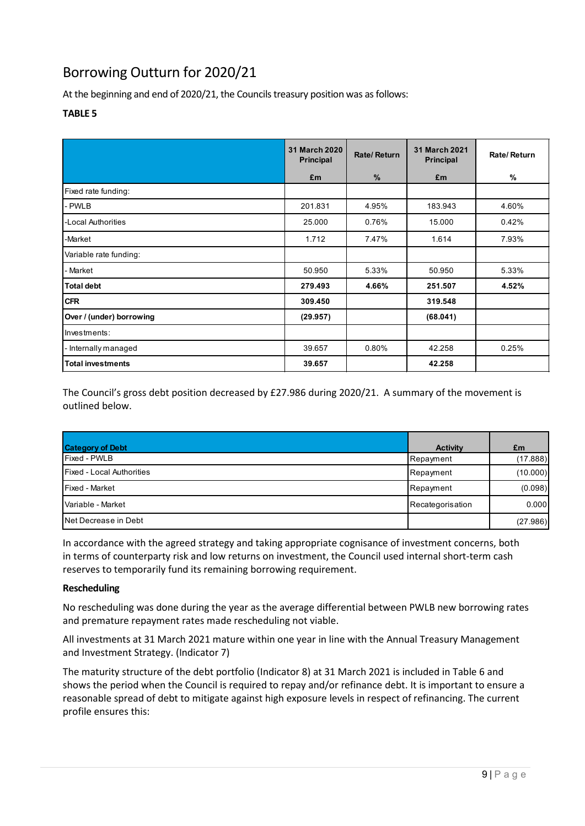### Borrowing Outturn for 2020/21

At the beginning and end of 2020/21, the Councils treasury position was as follows:

#### **TABLE 5**

|                          | <b>31 March 2020</b><br><b>Principal</b> | Rate/Return   | 31 March 2021<br><b>Principal</b> | Rate/Return |
|--------------------------|------------------------------------------|---------------|-----------------------------------|-------------|
|                          | £m                                       | $\frac{9}{6}$ | £m                                | $\%$        |
| Fixed rate funding:      |                                          |               |                                   |             |
| - PWLB                   | 201.831                                  | 4.95%         | 183.943                           | 4.60%       |
| -Local Authorities       | 25.000                                   | 0.76%         | 15.000                            | 0.42%       |
| -Market                  | 1.712                                    | 7.47%         | 1.614                             | 7.93%       |
| Variable rate funding:   |                                          |               |                                   |             |
| - Market                 | 50.950                                   | 5.33%         | 50.950                            | 5.33%       |
| <b>Total debt</b>        | 279.493                                  | 4.66%         | 251.507                           | 4.52%       |
| <b>CFR</b>               | 309.450                                  |               | 319.548                           |             |
| Over / (under) borrowing | (29.957)                                 |               | (68.041)                          |             |
| Investments:             |                                          |               |                                   |             |
| - Internally managed     | 39.657                                   | 0.80%         | 42.258                            | 0.25%       |
| <b>Total investments</b> | 39.657                                   |               | 42.258                            |             |

The Council's gross debt position decreased by £27.986 during 2020/21. A summary of the movement is outlined below.

| <b>Category of Debt</b>          | <b>Activity</b>  |                |
|----------------------------------|------------------|----------------|
| Fixed - PWLB                     | Repayment        | £m<br>(17.888) |
| <b>Fixed - Local Authorities</b> | Repayment        | (10.000)       |
| <b>Fixed - Market</b>            | Repayment        | (0.098)        |
| l Variable - Market              | Recategorisation | 0.000          |
| Net Decrease in Debt             |                  | (27.986)       |

In accordance with the agreed strategy and taking appropriate cognisance of investment concerns, both in terms of counterparty risk and low returns on investment, the Council used internal short-term cash reserves to temporarily fund its remaining borrowing requirement.

#### **Rescheduling**

No rescheduling was done during the year as the average differential between PWLB new borrowing rates and premature repayment rates made rescheduling not viable.

All investments at 31 March 2021 mature within one year in line with the Annual Treasury Management and Investment Strategy. (Indicator 7)

The maturity structure of the debt portfolio (Indicator 8) at 31 March 2021 is included in Table 6 and shows the period when the Council is required to repay and/or refinance debt. It is important to ensure a reasonable spread of debt to mitigate against high exposure levels in respect of refinancing. The current profile ensures this: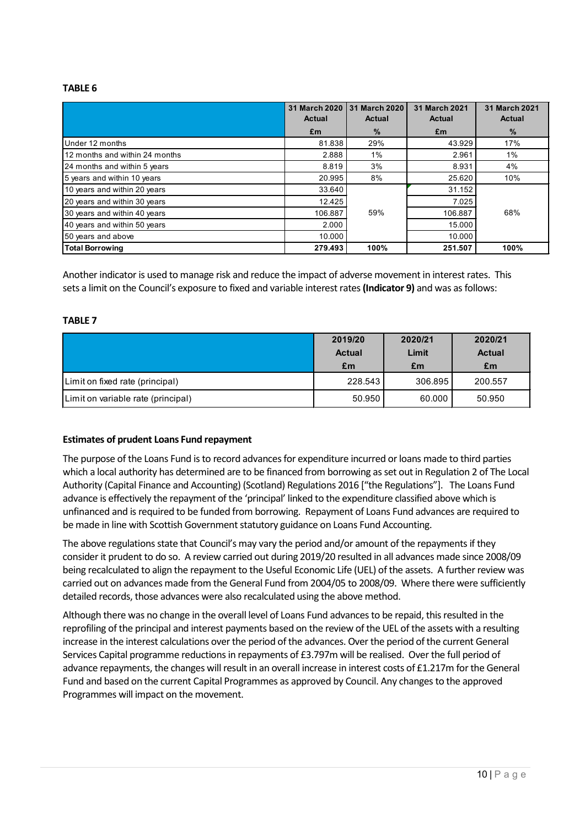#### **TABLE 6**

|                                | 31 March 2020<br>Actual | 31 March 2020<br>Actual | 31 March 2021<br>Actual | 31 March 2021<br>Actual |
|--------------------------------|-------------------------|-------------------------|-------------------------|-------------------------|
|                                | £m                      | $\frac{9}{6}$           | £m                      | $\%$                    |
| Under 12 months                | 81.838                  | 29%                     | 43.929                  | 17%                     |
| 12 months and within 24 months | 2.888                   | 1%                      | 2.961                   | 1%                      |
| 24 months and within 5 years   | 8.819                   | 3%                      | 8.931                   | 4%                      |
| 5 years and within 10 years    | 20.995                  | 8%                      | 25.620                  | 10%                     |
| 10 years and within 20 years   | 33.640                  |                         | 31.152                  |                         |
| 20 years and within 30 years   | 12.425                  |                         | 7.025                   |                         |
| 30 years and within 40 years   | 106.887                 | 59%                     | 106.887                 | 68%                     |
| 40 years and within 50 years   | 2.000                   |                         | 15.000                  |                         |
| 50 years and above             | 10.000                  |                         | 10.000                  |                         |
| <b>Total Borrowing</b>         | 279.493                 | 100%                    | 251.507                 | 100%                    |

Another indicator is used to manage risk and reduce the impact of adverse movement in interest rates. This sets a limit on the Council's exposure to fixed and variable interest rates **(Indicator 9)** and was as follows:

#### **TABLE 7**

|                                    | 2019/20       | 2020/21 | 2020/21       |
|------------------------------------|---------------|---------|---------------|
|                                    | <b>Actual</b> | Limit   | <b>Actual</b> |
|                                    | £m            | £m      | £m            |
| Limit on fixed rate (principal)    | 228.543       | 306.895 | 200.557       |
| Limit on variable rate (principal) | 50.950        | 60.000  | 50.950        |

#### **Estimates of prudent Loans Fund repayment**

The purpose of the Loans Fund is to record advances for expenditure incurred or loans made to third parties which a local authority has determined are to be financed from borrowing as set out in Regulation 2 of The Local Authority (Capital Finance and Accounting) (Scotland) Regulations 2016 ["the Regulations"]. The Loans Fund advance is effectively the repayment of the 'principal' linked to the expenditure classified above which is unfinanced and is required to be funded from borrowing. Repayment of Loans Fund advances are required to be made in line with Scottish Government statutory guidance on Loans Fund Accounting.

The above regulations state that Council's may vary the period and/or amount of the repayments if they consider it prudent to do so. A review carried out during 2019/20 resulted in all advances made since 2008/09 being recalculated to align the repayment to the Useful Economic Life (UEL) of the assets. A further review was carried out on advances made from the General Fund from 2004/05 to 2008/09. Where there were sufficiently detailed records, those advances were also recalculated using the above method.

Although there was no change in the overall level of Loans Fund advances to be repaid, this resulted in the reprofiling of the principal and interest payments based on the review of the UEL of the assets with a resulting increase in the interest calculations over the period of the advances. Over the period of the current General Services Capital programme reductions in repayments of £3.797m will be realised. Over the full period of advance repayments, the changes will result in an overall increase in interest costs of £1.217m forthe General Fund and based on the current Capital Programmes as approved by Council. Any changes to the approved Programmes will impact on the movement.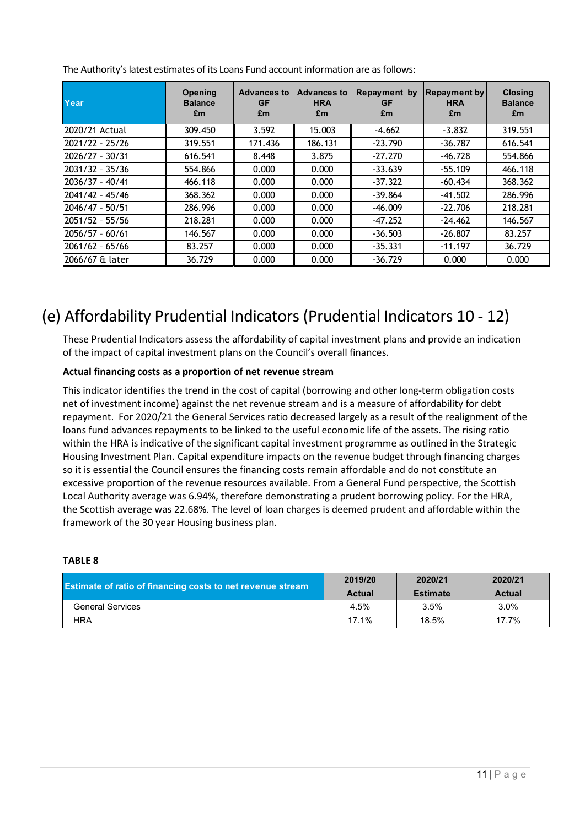| Year              | Opening<br><b>Balance</b><br>£m | <b>Advances to</b><br>GF<br>£m | <b>Advances to</b><br><b>HRA</b><br>£m | Repayment by<br><b>GF</b><br>£m | <b>Repayment by</b><br><b>HRA</b><br>£m | <b>Closing</b><br><b>Balance</b><br>£m |
|-------------------|---------------------------------|--------------------------------|----------------------------------------|---------------------------------|-----------------------------------------|----------------------------------------|
| 2020/21 Actual    | 309.450                         | 3.592                          | 15.003                                 | $-4.662$                        | $-3.832$                                | 319.551                                |
| 2021/22 - 25/26   | 319.551                         | 171.436                        | 186.131                                | $-23.790$                       | $-36.787$                               | 616.541                                |
| 2026/27 - 30/31   | 616.541                         | 8.448                          | 3.875                                  | $-27.270$                       | $-46.728$                               | 554.866                                |
| 2031/32 - 35/36   | 554.866                         | 0.000                          | 0.000                                  | $-33.639$                       | $-55.109$                               | 466.118                                |
| $2036/37 - 40/41$ | 466.118                         | 0.000                          | 0.000                                  | $-37.322$                       | $-60.434$                               | 368.362                                |
| $2041/42 - 45/46$ | 368.362                         | 0.000                          | 0.000                                  | $-39.864$                       | $-41.502$                               | 286.996                                |
| 2046/47 - 50/51   | 286.996                         | 0.000                          | 0.000                                  | $-46.009$                       | $-22.706$                               | 218.281                                |
| $2051/52 - 55/56$ | 218.281                         | 0.000                          | 0.000                                  | $-47.252$                       | $-24.462$                               | 146.567                                |
| $2056/57 - 60/61$ | 146.567                         | 0.000                          | 0.000                                  | $-36.503$                       | $-26.807$                               | 83.257                                 |
| $2061/62 - 65/66$ | 83.257                          | 0.000                          | 0.000                                  | $-35.331$                       | $-11.197$                               | 36.729                                 |
| 2066/67 & later   | 36.729                          | 0.000                          | 0.000                                  | $-36.729$                       | 0.000                                   | 0.000                                  |

The Authority's latest estimates of its Loans Fund account information are as follows:

### (e) Affordability Prudential Indicators (Prudential Indicators 10 - 12)

These Prudential Indicators assess the affordability of capital investment plans and provide an indication of the impact of capital investment plans on the Council's overall finances.

#### **Actual financing costs as a proportion of net revenue stream**

This indicator identifies the trend in the cost of capital (borrowing and other long-term obligation costs net of investment income) against the net revenue stream and is a measure of affordability for debt repayment. For 2020/21 the General Services ratio decreased largely as a result of the realignment of the loans fund advances repayments to be linked to the useful economic life of the assets. The rising ratio within the HRA is indicative of the significant capital investment programme as outlined in the Strategic Housing Investment Plan. Capital expenditure impacts on the revenue budget through financing charges so it is essential the Council ensures the financing costs remain affordable and do not constitute an excessive proportion of the revenue resources available. From a General Fund perspective, the Scottish Local Authority average was 6.94%, therefore demonstrating a prudent borrowing policy. For the HRA, the Scottish average was 22.68%. The level of loan charges is deemed prudent and affordable within the framework of the 30 year Housing business plan.

#### **TABLE 8**

| <b>Estimate of ratio of financing costs to net revenue stream</b> | 2019/20       | 2020/21         | 2020/21 |
|-------------------------------------------------------------------|---------------|-----------------|---------|
|                                                                   | <b>Actual</b> | <b>Estimate</b> | Actual  |
| <b>General Services</b>                                           | 4.5%          | $3.5\%$         | 3.0%    |
| <b>HRA</b>                                                        | 17.1%         | 18.5%           | 17.7%   |